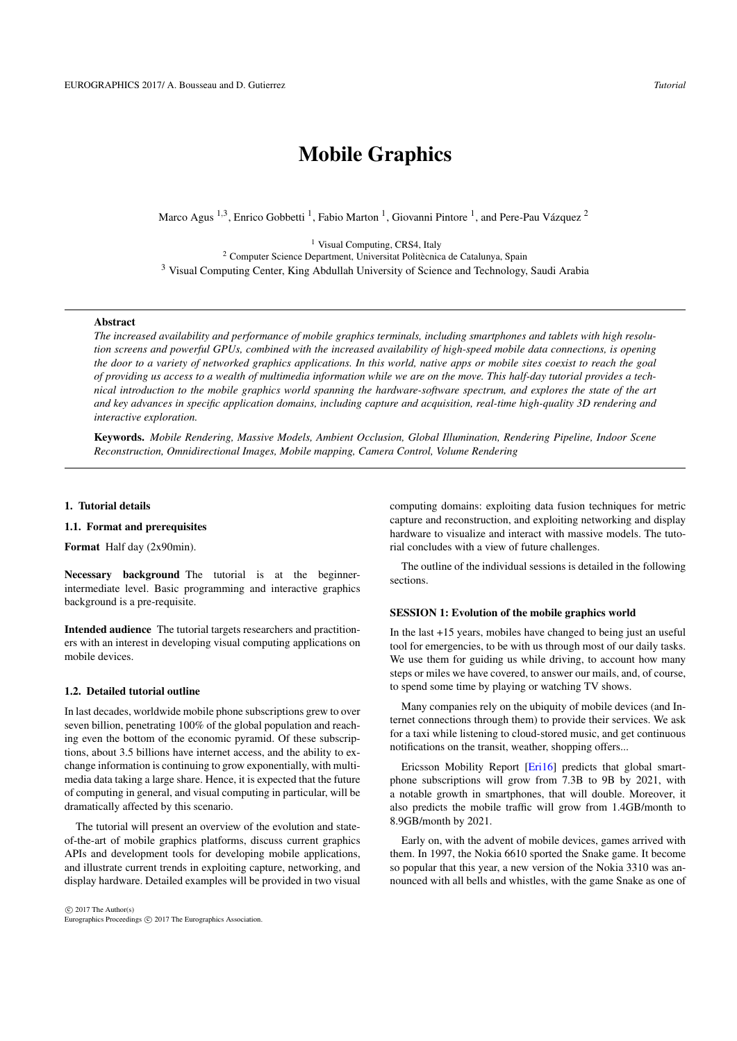# Mobile Graphics

<span id="page-0-0"></span>Marco Agus <sup>1,3</sup>, Enrico Gobbetti <sup>1</sup>, Fabio Marton <sup>1</sup>, Giovanni Pintore <sup>1</sup>, and Pere-Pau Vázquez <sup>2</sup>

<sup>1</sup> Visual Computing, CRS4, Italy <sup>2</sup> Computer Science Department, Universitat Politècnica de Catalunya, Spain <sup>3</sup> Visual Computing Center, King Abdullah University of Science and Technology, Saudi Arabia

# Abstract

*The increased availability and performance of mobile graphics terminals, including smartphones and tablets with high resolution screens and powerful GPUs, combined with the increased availability of high-speed mobile data connections, is opening the door to a variety of networked graphics applications. In this world, native apps or mobile sites coexist to reach the goal of providing us access to a wealth of multimedia information while we are on the move. This half-day tutorial provides a technical introduction to the mobile graphics world spanning the hardware-software spectrum, and explores the state of the art and key advances in specific application domains, including capture and acquisition, real-time high-quality 3D rendering and interactive exploration.*

Keywords. *Mobile Rendering, Massive Models, Ambient Occlusion, Global Illumination, Rendering Pipeline, Indoor Scene Reconstruction, Omnidirectional Images, Mobile mapping, Camera Control, Volume Rendering*

## 1. Tutorial details

## 1.1. Format and prerequisites

Format Half day (2x90min).

Necessary background The tutorial is at the beginnerintermediate level. Basic programming and interactive graphics background is a pre-requisite.

Intended audience The tutorial targets researchers and practitioners with an interest in developing visual computing applications on mobile devices.

## 1.2. Detailed tutorial outline

In last decades, worldwide mobile phone subscriptions grew to over seven billion, penetrating 100% of the global population and reaching even the bottom of the economic pyramid. Of these subscriptions, about 3.5 billions have internet access, and the ability to exchange information is continuing to grow exponentially, with multimedia data taking a large share. Hence, it is expected that the future of computing in general, and visual computing in particular, will be dramatically affected by this scenario.

The tutorial will present an overview of the evolution and stateof-the-art of mobile graphics platforms, discuss current graphics APIs and development tools for developing mobile applications, and illustrate current trends in exploiting capture, networking, and display hardware. Detailed examples will be provided in two visual

 c 2017 The Author(s) Eurographics Proceedings (C) 2017 The Eurographics Association computing domains: exploiting data fusion techniques for metric capture and reconstruction, and exploiting networking and display hardware to visualize and interact with massive models. The tutorial concludes with a view of future challenges.

The outline of the individual sessions is detailed in the following sections.

## SESSION 1: Evolution of the mobile graphics world

In the last  $+15$  years, mobiles have changed to being just an useful tool for emergencies, to be with us through most of our daily tasks. We use them for guiding us while driving, to account how many steps or miles we have covered, to answer our mails, and, of course, to spend some time by playing or watching TV shows.

Many companies rely on the ubiquity of mobile devices (and Internet connections through them) to provide their services. We ask for a taxi while listening to cloud-stored music, and get continuous notifications on the transit, weather, shopping offers...

Ericsson Mobility Report [\[Eri16\]](#page-4-0) predicts that global smartphone subscriptions will grow from 7.3B to 9B by 2021, with a notable growth in smartphones, that will double. Moreover, it also predicts the mobile traffic will grow from 1.4GB/month to 8.9GB/month by 2021.

Early on, with the advent of mobile devices, games arrived with them. In 1997, the Nokia 6610 sported the Snake game. It become so popular that this year, a new version of the Nokia 3310 was announced with all bells and whistles, with the game Snake as one of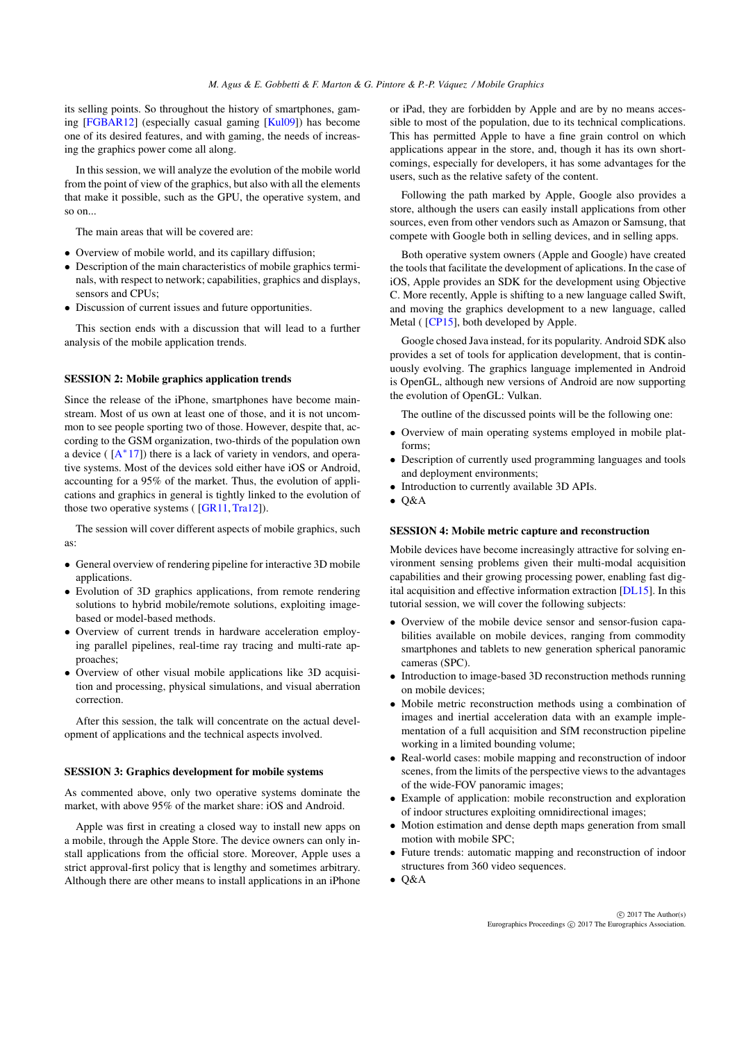<span id="page-1-0"></span>its selling points. So throughout the history of smartphones, gaming [\[FGBAR12\]](#page-4-1) (especially casual gaming [\[Kul09\]](#page-4-2)) has become one of its desired features, and with gaming, the needs of increasing the graphics power come all along.

In this session, we will analyze the evolution of the mobile world from the point of view of the graphics, but also with all the elements that make it possible, such as the GPU, the operative system, and so on...

The main areas that will be covered are:

- Overview of mobile world, and its capillary diffusion;
- Description of the main characteristics of mobile graphics terminals, with respect to network; capabilities, graphics and displays, sensors and CPUs;
- Discussion of current issues and future opportunities.

This section ends with a discussion that will lead to a further analysis of the mobile application trends.

# SESSION 2: Mobile graphics application trends

Since the release of the iPhone, smartphones have become mainstream. Most of us own at least one of those, and it is not uncommon to see people sporting two of those. However, despite that, according to the GSM organization, two-thirds of the population own a device  $([A^*17])$  $([A^*17])$  $([A^*17])$  there is a lack of variety in vendors, and operative systems. Most of the devices sold either have iOS or Android, accounting for a 95% of the market. Thus, the evolution of applications and graphics in general is tightly linked to the evolution of those two operative systems ( [\[GR11,](#page-4-3) [Tra12\]](#page-4-4)).

The session will cover different aspects of mobile graphics, such as:

- General overview of rendering pipeline for interactive 3D mobile applications.
- Evolution of 3D graphics applications, from remote rendering solutions to hybrid mobile/remote solutions, exploiting imagebased or model-based methods.
- Overview of current trends in hardware acceleration employing parallel pipelines, real-time ray tracing and multi-rate approaches;
- Overview of other visual mobile applications like 3D acquisition and processing, physical simulations, and visual aberration correction.

After this session, the talk will concentrate on the actual development of applications and the technical aspects involved.

#### SESSION 3: Graphics development for mobile systems

As commented above, only two operative systems dominate the market, with above 95% of the market share: iOS and Android.

Apple was first in creating a closed way to install new apps on a mobile, through the Apple Store. The device owners can only install applications from the official store. Moreover, Apple uses a strict approval-first policy that is lengthy and sometimes arbitrary. Although there are other means to install applications in an iPhone or iPad, they are forbidden by Apple and are by no means accessible to most of the population, due to its technical complications. This has permitted Apple to have a fine grain control on which applications appear in the store, and, though it has its own shortcomings, especially for developers, it has some advantages for the users, such as the relative safety of the content.

Following the path marked by Apple, Google also provides a store, although the users can easily install applications from other sources, even from other vendors such as Amazon or Samsung, that compete with Google both in selling devices, and in selling apps.

Both operative system owners (Apple and Google) have created the tools that facilitate the development of aplications. In the case of iOS, Apple provides an SDK for the development using Objective C. More recently, Apple is shifting to a new language called Swift, and moving the graphics development to a new language, called Metal ( [\[CP15\]](#page-3-1), both developed by Apple.

Google chosed Java instead, for its popularity. Android SDK also provides a set of tools for application development, that is continuously evolving. The graphics language implemented in Android is OpenGL, although new versions of Android are now supporting the evolution of OpenGL: Vulkan.

The outline of the discussed points will be the following one:

- Overview of main operating systems employed in mobile platforms;
- Description of currently used programming languages and tools and deployment environments;
- Introduction to currently available 3D APIs.
- Q&A

#### SESSION 4: Mobile metric capture and reconstruction

Mobile devices have become increasingly attractive for solving environment sensing problems given their multi-modal acquisition capabilities and their growing processing power, enabling fast digital acquisition and effective information extraction [\[DL15\]](#page-3-2). In this tutorial session, we will cover the following subjects:

- Overview of the mobile device sensor and sensor-fusion capabilities available on mobile devices, ranging from commodity smartphones and tablets to new generation spherical panoramic cameras (SPC).
- Introduction to image-based 3D reconstruction methods running on mobile devices;
- Mobile metric reconstruction methods using a combination of images and inertial acceleration data with an example implementation of a full acquisition and SfM reconstruction pipeline working in a limited bounding volume;
- Real-world cases: mobile mapping and reconstruction of indoor scenes, from the limits of the perspective views to the advantages of the wide-FOV panoramic images;
- Example of application: mobile reconstruction and exploration of indoor structures exploiting omnidirectional images;
- Motion estimation and dense depth maps generation from small motion with mobile SPC;
- Future trends: automatic mapping and reconstruction of indoor structures from 360 video sequences.
- Q&A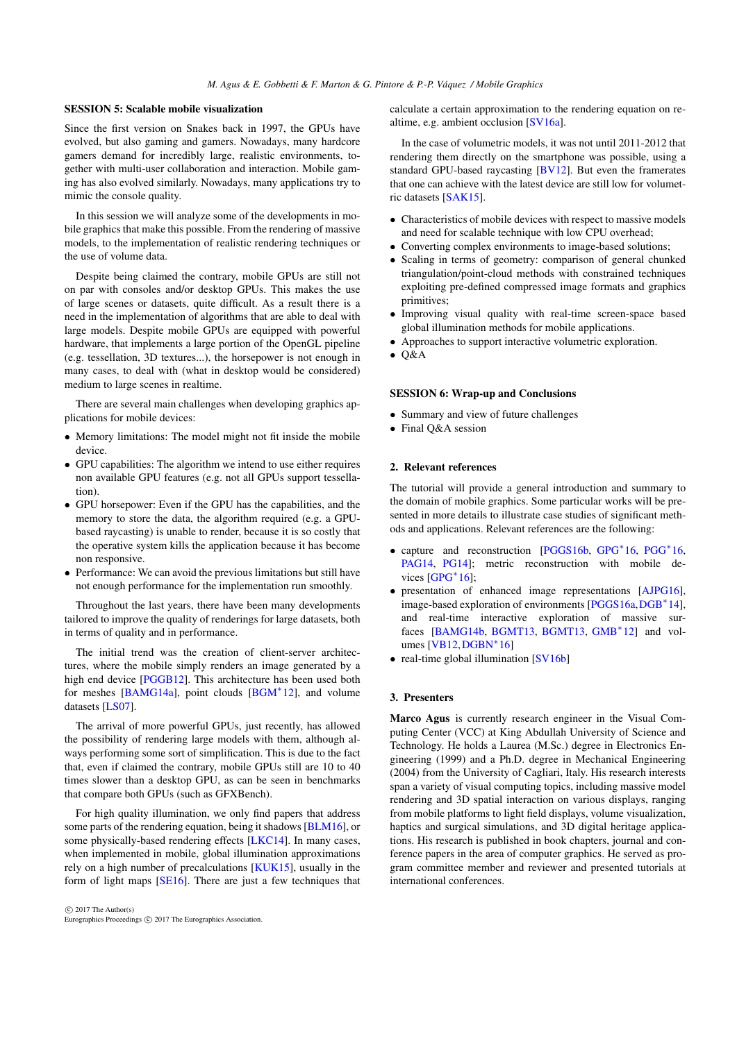## <span id="page-2-0"></span>SESSION 5: Scalable mobile visualization

Since the first version on Snakes back in 1997, the GPUs have evolved, but also gaming and gamers. Nowadays, many hardcore gamers demand for incredibly large, realistic environments, together with multi-user collaboration and interaction. Mobile gaming has also evolved similarly. Nowadays, many applications try to mimic the console quality.

In this session we will analyze some of the developments in mobile graphics that make this possible. From the rendering of massive models, to the implementation of realistic rendering techniques or the use of volume data.

Despite being claimed the contrary, mobile GPUs are still not on par with consoles and/or desktop GPUs. This makes the use of large scenes or datasets, quite difficult. As a result there is a need in the implementation of algorithms that are able to deal with large models. Despite mobile GPUs are equipped with powerful hardware, that implements a large portion of the OpenGL pipeline (e.g. tessellation, 3D textures...), the horsepower is not enough in many cases, to deal with (what in desktop would be considered) medium to large scenes in realtime.

There are several main challenges when developing graphics applications for mobile devices:

- Memory limitations: The model might not fit inside the mobile device.
- GPU capabilities: The algorithm we intend to use either requires non available GPU features (e.g. not all GPUs support tessellation).
- GPU horsepower: Even if the GPU has the capabilities, and the memory to store the data, the algorithm required (e.g. a GPUbased raycasting) is unable to render, because it is so costly that the operative system kills the application because it has become non responsive.
- Performance: We can avoid the previous limitations but still have not enough performance for the implementation run smoothly.

Throughout the last years, there have been many developments tailored to improve the quality of renderings for large datasets, both in terms of quality and in performance.

The initial trend was the creation of client-server architectures, where the mobile simply renders an image generated by a high end device [\[PGGB12\]](#page-4-5). This architecture has been used both for meshes [\[BAMG14a\]](#page-3-3), point clouds [\[BGM](#page-3-4)<sup>∗</sup> 12], and volume datasets [\[LS07\]](#page-4-6).

The arrival of more powerful GPUs, just recently, has allowed the possibility of rendering large models with them, although always performing some sort of simplification. This is due to the fact that, even if claimed the contrary, mobile GPUs still are 10 to 40 times slower than a desktop GPU, as can be seen in benchmarks that compare both GPUs (such as GFXBench).

For high quality illumination, we only find papers that address some parts of the rendering equation, being it shadows [\[BLM16\]](#page-3-5), or some physically-based rendering effects [\[LKC14\]](#page-4-7). In many cases, when implemented in mobile, global illumination approximations rely on a high number of precalculations [\[KUK15\]](#page-4-8), usually in the form of light maps [\[SE16\]](#page-4-9). There are just a few techniques that

 c 2017 The Author(s) Eurographics Proceedings (C) 2017 The Eurographics Association calculate a certain approximation to the rendering equation on realtime, e.g. ambient occlusion [\[SV16a\]](#page-4-10).

In the case of volumetric models, it was not until 2011-2012 that rendering them directly on the smartphone was possible, using a standard GPU-based raycasting [\[BV12\]](#page-3-6). But even the framerates that one can achieve with the latest device are still low for volumetric datasets [\[SAK15\]](#page-4-11).

- Characteristics of mobile devices with respect to massive models and need for scalable technique with low CPU overhead;
- Converting complex environments to image-based solutions;
- Scaling in terms of geometry: comparison of general chunked triangulation/point-cloud methods with constrained techniques exploiting pre-defined compressed image formats and graphics primitives;
- Improving visual quality with real-time screen-space based global illumination methods for mobile applications.
- Approaches to support interactive volumetric exploration.
- $\bullet$  O&A

## SESSION 6: Wrap-up and Conclusions

- Summary and view of future challenges
- Final O&A session

#### 2. Relevant references

The tutorial will provide a general introduction and summary to the domain of mobile graphics. Some particular works will be presented in more details to illustrate case studies of significant methods and applications. Relevant references are the following:

- capture and reconstruction [\[PGGS16b,](#page-4-12) [GPG](#page-4-13)<sup>∗</sup> 16, [PGG](#page-4-14)<sup>∗</sup> 16, [PAG14,](#page-4-15) [PG14\]](#page-4-16); metric reconstruction with mobile devices  $[GPG^*16]$  $[GPG^*16]$ ;
- presentation of enhanced image representations [\[AJPG16\]](#page-3-7), image-based exploration of environments [\[PGGS16a,](#page-4-17)[DGB](#page-3-8)<sup>∗</sup> 14], and real-time interactive exploration of massive sur-faces [\[BAMG14b,](#page-3-9) [BGMT13,](#page-3-10) BGMT13, [GMB](#page-4-18)<sup>\*</sup>12] and vol-umes [\[VB12,](#page-4-19) [DGBN](#page-3-11)<sup>\*</sup>16]
- real-time global illumination [\[SV16b\]](#page-4-20)

## 3. Presenters

Marco Agus is currently research engineer in the Visual Computing Center (VCC) at King Abdullah University of Science and Technology. He holds a Laurea (M.Sc.) degree in Electronics Engineering (1999) and a Ph.D. degree in Mechanical Engineering (2004) from the University of Cagliari, Italy. His research interests span a variety of visual computing topics, including massive model rendering and 3D spatial interaction on various displays, ranging from mobile platforms to light field displays, volume visualization, haptics and surgical simulations, and 3D digital heritage applications. His research is published in book chapters, journal and conference papers in the area of computer graphics. He served as program committee member and reviewer and presented tutorials at international conferences.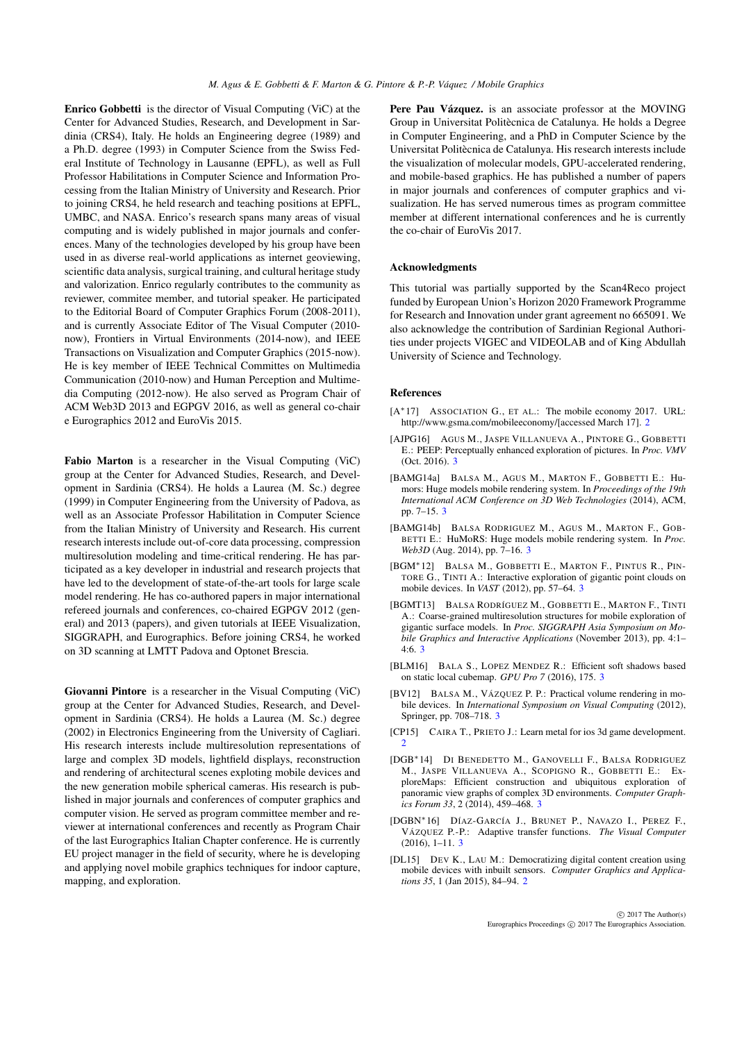Enrico Gobbetti is the director of Visual Computing (ViC) at the Center for Advanced Studies, Research, and Development in Sardinia (CRS4), Italy. He holds an Engineering degree (1989) and a Ph.D. degree (1993) in Computer Science from the Swiss Federal Institute of Technology in Lausanne (EPFL), as well as Full Professor Habilitations in Computer Science and Information Processing from the Italian Ministry of University and Research. Prior to joining CRS4, he held research and teaching positions at EPFL, UMBC, and NASA. Enrico's research spans many areas of visual computing and is widely published in major journals and conferences. Many of the technologies developed by his group have been used in as diverse real-world applications as internet geoviewing, scientific data analysis, surgical training, and cultural heritage study and valorization. Enrico regularly contributes to the community as reviewer, commitee member, and tutorial speaker. He participated to the Editorial Board of Computer Graphics Forum (2008-2011), and is currently Associate Editor of The Visual Computer (2010 now), Frontiers in Virtual Environments (2014-now), and IEEE Transactions on Visualization and Computer Graphics (2015-now). He is key member of IEEE Technical Committes on Multimedia Communication (2010-now) and Human Perception and Multimedia Computing (2012-now). He also served as Program Chair of ACM Web3D 2013 and EGPGV 2016, as well as general co-chair e Eurographics 2012 and EuroVis 2015.

Fabio Marton is a researcher in the Visual Computing (ViC) group at the Center for Advanced Studies, Research, and Development in Sardinia (CRS4). He holds a Laurea (M. Sc.) degree (1999) in Computer Engineering from the University of Padova, as well as an Associate Professor Habilitation in Computer Science from the Italian Ministry of University and Research. His current research interests include out-of-core data processing, compression multiresolution modeling and time-critical rendering. He has participated as a key developer in industrial and research projects that have led to the development of state-of-the-art tools for large scale model rendering. He has co-authored papers in major international refereed journals and conferences, co-chaired EGPGV 2012 (general) and 2013 (papers), and given tutorials at IEEE Visualization, SIGGRAPH, and Eurographics. Before joining CRS4, he worked on 3D scanning at LMTT Padova and Optonet Brescia.

Giovanni Pintore is a researcher in the Visual Computing (ViC) group at the Center for Advanced Studies, Research, and Development in Sardinia (CRS4). He holds a Laurea (M. Sc.) degree (2002) in Electronics Engineering from the University of Cagliari. His research interests include multiresolution representations of large and complex 3D models, lightfield displays, reconstruction and rendering of architectural scenes exploting mobile devices and the new generation mobile spherical cameras. His research is published in major journals and conferences of computer graphics and computer vision. He served as program committee member and reviewer at international conferences and recently as Program Chair of the last Eurographics Italian Chapter conference. He is currently EU project manager in the field of security, where he is developing and applying novel mobile graphics techniques for indoor capture, mapping, and exploration.

Pere Pau Vázquez. is an associate professor at the MOVING Group in Universitat Politècnica de Catalunya. He holds a Degree in Computer Engineering, and a PhD in Computer Science by the Universitat Politècnica de Catalunya. His research interests include the visualization of molecular models, GPU-accelerated rendering, and mobile-based graphics. He has published a number of papers in major journals and conferences of computer graphics and visualization. He has served numerous times as program committee member at different international conferences and he is currently the co-chair of EuroVis 2017.

# Acknowledgments

This tutorial was partially supported by the Scan4Reco project funded by European Union's Horizon 2020 Framework Programme for Research and Innovation under grant agreement no 665091. We also acknowledge the contribution of Sardinian Regional Authorities under projects VIGEC and VIDEOLAB and of King Abdullah University of Science and Technology.

#### **References**

- <span id="page-3-0"></span>[A<sup>\*</sup>17] ASSOCIATION G., ET AL.: The mobile economy 2017. URL: http://www.gsma.com/mobileeconomy/[accessed March 17]. [2](#page-1-0)
- <span id="page-3-7"></span>[AJPG16] AGUS M., JASPE VILLANUEVA A., PINTORE G., GOBBETTI E.: PEEP: Perceptually enhanced exploration of pictures. In *Proc. VMV* (Oct. 2016). [3](#page-2-0)
- <span id="page-3-3"></span>[BAMG14a] BALSA M., AGUS M., MARTON F., GOBBETTI E.: Humors: Huge models mobile rendering system. In *Proceedings of the 19th International ACM Conference on 3D Web Technologies* (2014), ACM, pp. 7–15. [3](#page-2-0)
- <span id="page-3-9"></span>[BAMG14b] BALSA RODRIGUEZ M., AGUS M., MARTON F., GOB-BETTI E.: HuMoRS: Huge models mobile rendering system. In *Proc. Web3D* (Aug. 2014), pp. 7–16. [3](#page-2-0)
- <span id="page-3-4"></span>[BGM∗12] BALSA M., GOBBETTI E., MARTON F., PINTUS R., PIN-TORE G., TINTI A.: Interactive exploration of gigantic point clouds on mobile devices. In *VAST* (2012), pp. 57–64. [3](#page-2-0)
- <span id="page-3-10"></span>[BGMT13] BALSA RODRÍGUEZ M., GOBBETTI E., MARTON F., TINTI A.: Coarse-grained multiresolution structures for mobile exploration of gigantic surface models. In *Proc. SIGGRAPH Asia Symposium on Mobile Graphics and Interactive Applications* (November 2013), pp. 4:1– 4:6. [3](#page-2-0)
- <span id="page-3-5"></span>[BLM16] BALA S., LOPEZ MENDEZ R.: Efficient soft shadows based on static local cubemap. *GPU Pro 7* (2016), 175. [3](#page-2-0)
- <span id="page-3-6"></span>[BV12] BALSA M., VÁZQUEZ P. P.: Practical volume rendering in mobile devices. In *International Symposium on Visual Computing* (2012), Springer, pp. 708–718. [3](#page-2-0)
- <span id="page-3-1"></span>[CP15] CAIRA T., PRIETO J.: Learn metal for ios 3d game development.  $\mathcal{D}$
- <span id="page-3-8"></span>[DGB∗14] D<sup>I</sup> BENEDETTO M., GANOVELLI F., BALSA RODRIGUEZ M., JASPE VILLANUEVA A., SCOPIGNO R., GOBBETTI E.: ExploreMaps: Efficient construction and ubiquitous exploration of panoramic view graphs of complex 3D environments. *Computer Graphics Forum 33*, 2 (2014), 459–468. [3](#page-2-0)
- <span id="page-3-11"></span>[DGBN∗16] DÍAZ-GARCÍA J., BRUNET P., NAVAZO I., PEREZ F., VÁZQUEZ P.-P.: Adaptive transfer functions. *The Visual Computer* (2016), 1–11. [3](#page-2-0)
- <span id="page-3-2"></span>[DL15] DEV K., LAU M.: Democratizing digital content creation using mobile devices with inbuilt sensors. *Computer Graphics and Applications 35*, 1 (Jan 2015), 84–94. [2](#page-1-0)